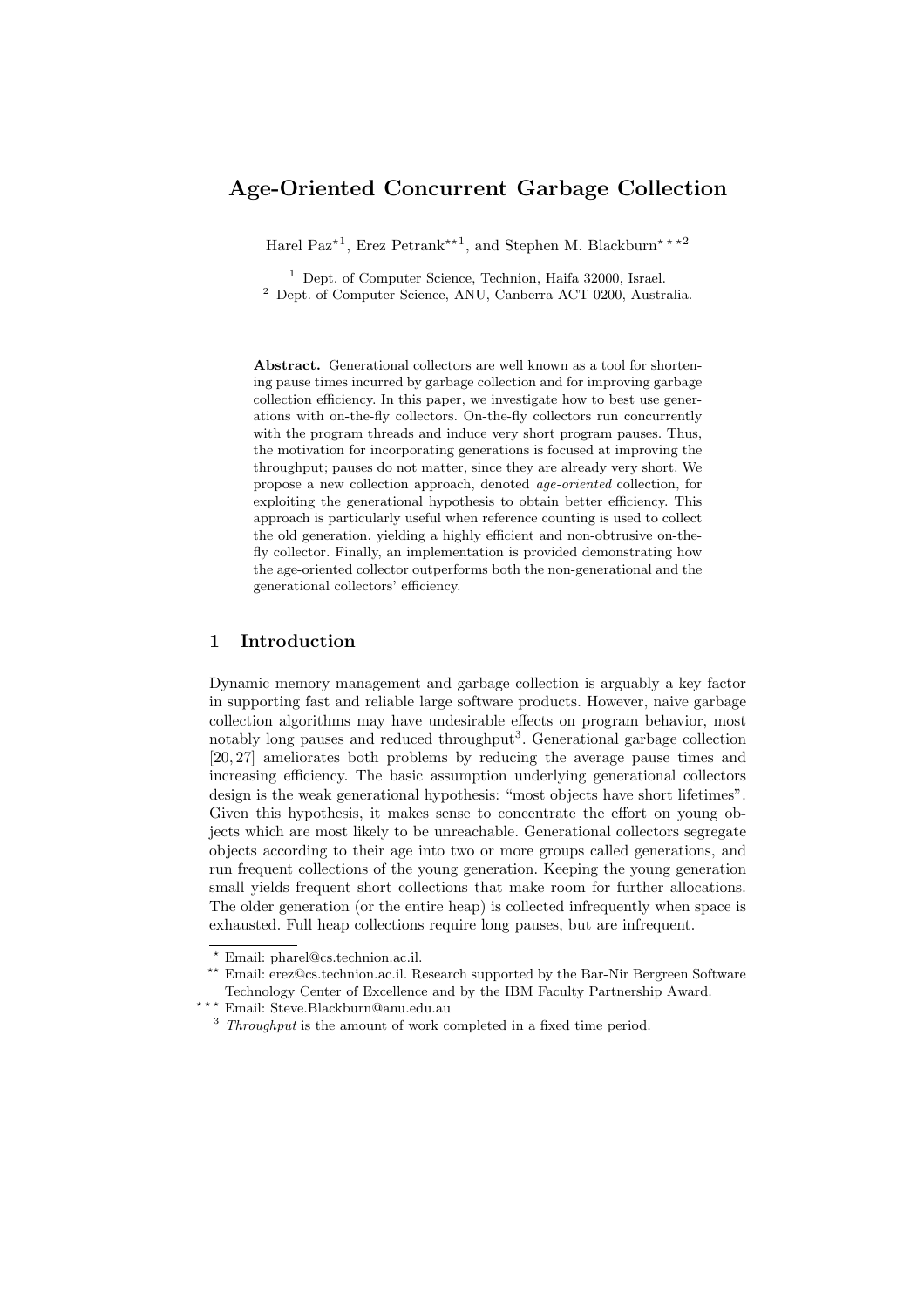# Age-Oriented Concurrent Garbage Collection

Harel Paz<sup>\*1</sup>, Erez Petrank<sup>\*\*1</sup>, and Stephen M. Blackburn<sup>\*\*\*2</sup>

<sup>1</sup> Dept. of Computer Science, Technion, Haifa 32000, Israel.

<sup>2</sup> Dept. of Computer Science, ANU, Canberra ACT 0200, Australia.

Abstract. Generational collectors are well known as a tool for shortening pause times incurred by garbage collection and for improving garbage collection efficiency. In this paper, we investigate how to best use generations with on-the-fly collectors. On-the-fly collectors run concurrently with the program threads and induce very short program pauses. Thus, the motivation for incorporating generations is focused at improving the throughput; pauses do not matter, since they are already very short. We propose a new collection approach, denoted age-oriented collection, for exploiting the generational hypothesis to obtain better efficiency. This approach is particularly useful when reference counting is used to collect the old generation, yielding a highly efficient and non-obtrusive on-thefly collector. Finally, an implementation is provided demonstrating how the age-oriented collector outperforms both the non-generational and the generational collectors' efficiency.

# 1 Introduction

Dynamic memory management and garbage collection is arguably a key factor in supporting fast and reliable large software products. However, naive garbage collection algorithms may have undesirable effects on program behavior, most notably long pauses and reduced throughput<sup>3</sup>. Generational garbage collection [20, 27] ameliorates both problems by reducing the average pause times and increasing efficiency. The basic assumption underlying generational collectors design is the weak generational hypothesis: "most objects have short lifetimes". Given this hypothesis, it makes sense to concentrate the effort on young objects which are most likely to be unreachable. Generational collectors segregate objects according to their age into two or more groups called generations, and run frequent collections of the young generation. Keeping the young generation small yields frequent short collections that make room for further allocations. The older generation (or the entire heap) is collected infrequently when space is exhausted. Full heap collections require long pauses, but are infrequent.

<sup>?</sup> Email: pharel@cs.technion.ac.il.

 $^{\star\star}$ Email: erez@cs.technion.ac.il. Research supported by the Bar-Nir Bergreen Software Technology Center of Excellence and by the IBM Faculty Partnership Award.

<sup>? ? ?</sup> Email: Steve.Blackburn@anu.edu.au

<sup>&</sup>lt;sup>3</sup> Throughput is the amount of work completed in a fixed time period.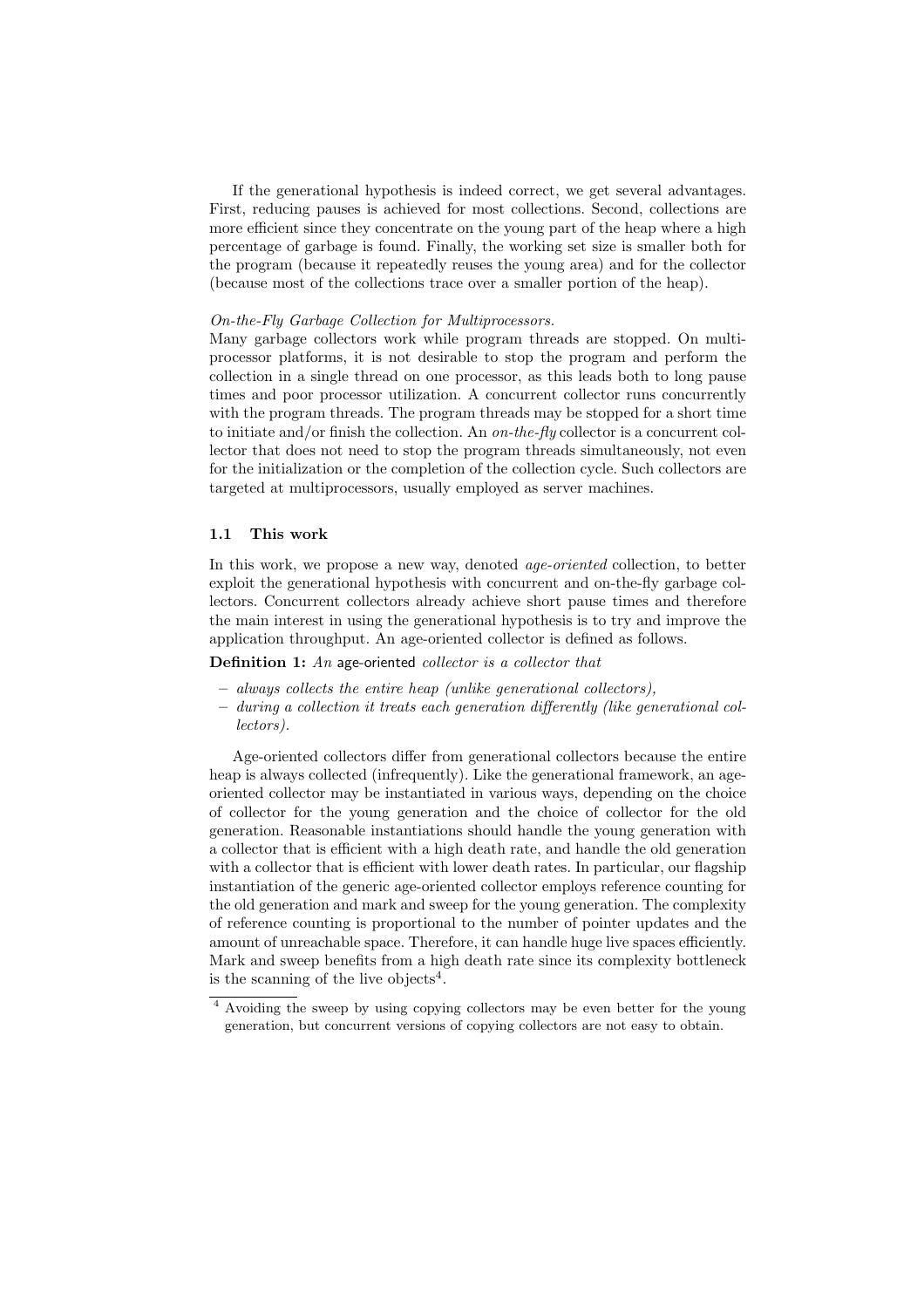If the generational hypothesis is indeed correct, we get several advantages. First, reducing pauses is achieved for most collections. Second, collections are more efficient since they concentrate on the young part of the heap where a high percentage of garbage is found. Finally, the working set size is smaller both for the program (because it repeatedly reuses the young area) and for the collector (because most of the collections trace over a smaller portion of the heap).

#### On-the-Fly Garbage Collection for Multiprocessors.

Many garbage collectors work while program threads are stopped. On multiprocessor platforms, it is not desirable to stop the program and perform the collection in a single thread on one processor, as this leads both to long pause times and poor processor utilization. A concurrent collector runs concurrently with the program threads. The program threads may be stopped for a short time to initiate and/or finish the collection. An  $\omega$ -the-fly collector is a concurrent collector that does not need to stop the program threads simultaneously, not even for the initialization or the completion of the collection cycle. Such collectors are targeted at multiprocessors, usually employed as server machines.

#### 1.1 This work

In this work, we propose a new way, denoted *age-oriented* collection, to better exploit the generational hypothesis with concurrent and on-the-fly garbage collectors. Concurrent collectors already achieve short pause times and therefore the main interest in using the generational hypothesis is to try and improve the application throughput. An age-oriented collector is defined as follows.

## Definition 1: An age-oriented collector is a collector that

- always collects the entire heap (unlike generational collectors),
- during a collection it treats each generation differently (like generational collectors).

Age-oriented collectors differ from generational collectors because the entire heap is always collected (infrequently). Like the generational framework, an ageoriented collector may be instantiated in various ways, depending on the choice of collector for the young generation and the choice of collector for the old generation. Reasonable instantiations should handle the young generation with a collector that is efficient with a high death rate, and handle the old generation with a collector that is efficient with lower death rates. In particular, our flagship instantiation of the generic age-oriented collector employs reference counting for the old generation and mark and sweep for the young generation. The complexity of reference counting is proportional to the number of pointer updates and the amount of unreachable space. Therefore, it can handle huge live spaces efficiently. Mark and sweep benefits from a high death rate since its complexity bottleneck is the scanning of the live objects<sup>4</sup>.

<sup>&</sup>lt;sup>4</sup> Avoiding the sweep by using copying collectors may be even better for the young generation, but concurrent versions of copying collectors are not easy to obtain.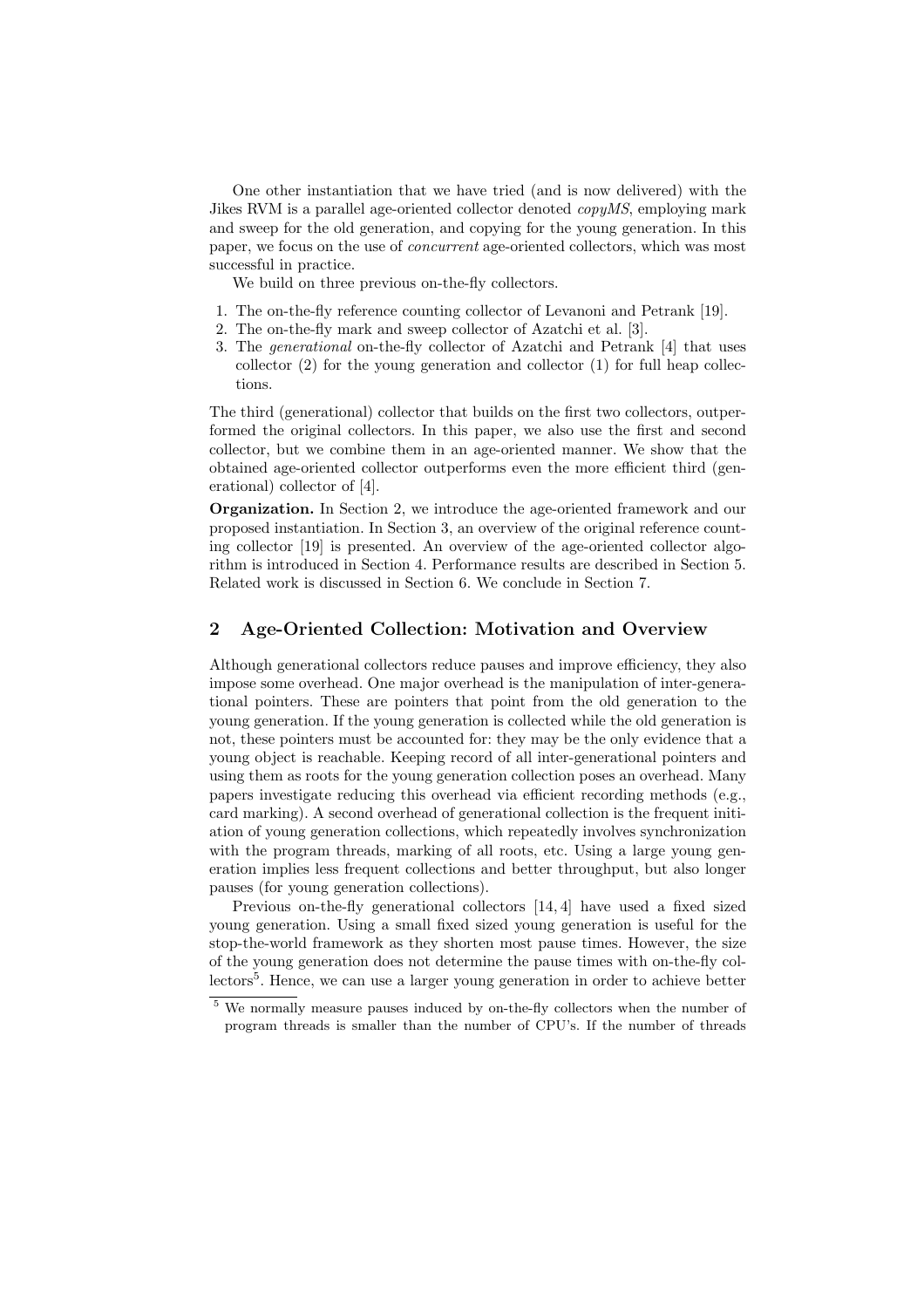One other instantiation that we have tried (and is now delivered) with the Jikes RVM is a parallel age-oriented collector denoted copyMS, employing mark and sweep for the old generation, and copying for the young generation. In this paper, we focus on the use of concurrent age-oriented collectors, which was most successful in practice.

We build on three previous on-the-fly collectors.

- 1. The on-the-fly reference counting collector of Levanoni and Petrank [19].
- 2. The on-the-fly mark and sweep collector of Azatchi et al. [3].
- 3. The generational on-the-fly collector of Azatchi and Petrank [4] that uses collector (2) for the young generation and collector (1) for full heap collections.

The third (generational) collector that builds on the first two collectors, outperformed the original collectors. In this paper, we also use the first and second collector, but we combine them in an age-oriented manner. We show that the obtained age-oriented collector outperforms even the more efficient third (generational) collector of [4].

Organization. In Section 2, we introduce the age-oriented framework and our proposed instantiation. In Section 3, an overview of the original reference counting collector [19] is presented. An overview of the age-oriented collector algorithm is introduced in Section 4. Performance results are described in Section 5. Related work is discussed in Section 6. We conclude in Section 7.

## 2 Age-Oriented Collection: Motivation and Overview

Although generational collectors reduce pauses and improve efficiency, they also impose some overhead. One major overhead is the manipulation of inter-generational pointers. These are pointers that point from the old generation to the young generation. If the young generation is collected while the old generation is not, these pointers must be accounted for: they may be the only evidence that a young object is reachable. Keeping record of all inter-generational pointers and using them as roots for the young generation collection poses an overhead. Many papers investigate reducing this overhead via efficient recording methods (e.g., card marking). A second overhead of generational collection is the frequent initiation of young generation collections, which repeatedly involves synchronization with the program threads, marking of all roots, etc. Using a large young generation implies less frequent collections and better throughput, but also longer pauses (for young generation collections).

Previous on-the-fly generational collectors [14, 4] have used a fixed sized young generation. Using a small fixed sized young generation is useful for the stop-the-world framework as they shorten most pause times. However, the size of the young generation does not determine the pause times with on-the-fly collectors<sup>5</sup>. Hence, we can use a larger young generation in order to achieve better

<sup>5</sup> We normally measure pauses induced by on-the-fly collectors when the number of program threads is smaller than the number of CPU's. If the number of threads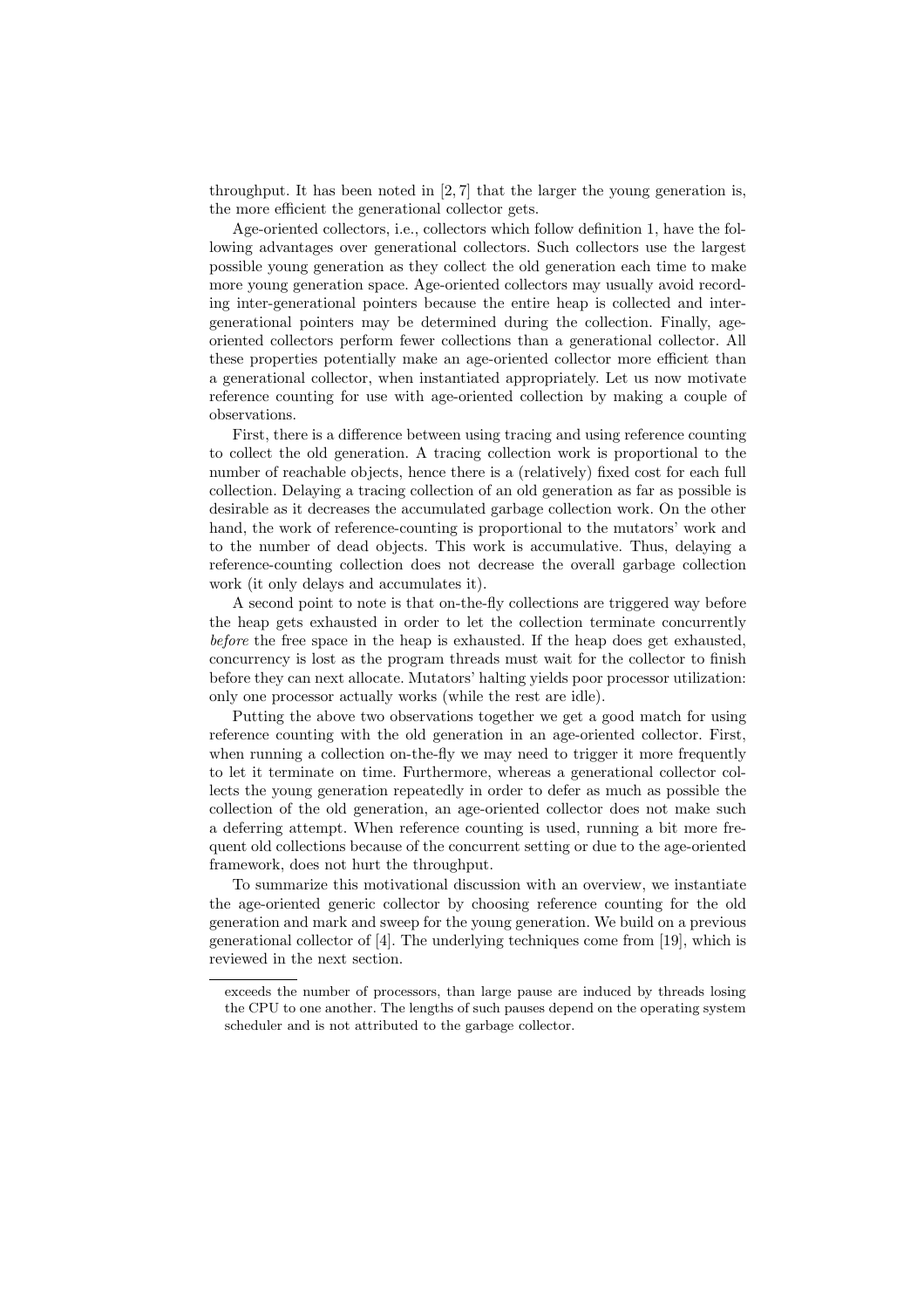throughput. It has been noted in  $[2, 7]$  that the larger the young generation is, the more efficient the generational collector gets.

Age-oriented collectors, i.e., collectors which follow definition 1, have the following advantages over generational collectors. Such collectors use the largest possible young generation as they collect the old generation each time to make more young generation space. Age-oriented collectors may usually avoid recording inter-generational pointers because the entire heap is collected and intergenerational pointers may be determined during the collection. Finally, ageoriented collectors perform fewer collections than a generational collector. All these properties potentially make an age-oriented collector more efficient than a generational collector, when instantiated appropriately. Let us now motivate reference counting for use with age-oriented collection by making a couple of observations.

First, there is a difference between using tracing and using reference counting to collect the old generation. A tracing collection work is proportional to the number of reachable objects, hence there is a (relatively) fixed cost for each full collection. Delaying a tracing collection of an old generation as far as possible is desirable as it decreases the accumulated garbage collection work. On the other hand, the work of reference-counting is proportional to the mutators' work and to the number of dead objects. This work is accumulative. Thus, delaying a reference-counting collection does not decrease the overall garbage collection work (it only delays and accumulates it).

A second point to note is that on-the-fly collections are triggered way before the heap gets exhausted in order to let the collection terminate concurrently before the free space in the heap is exhausted. If the heap does get exhausted, concurrency is lost as the program threads must wait for the collector to finish before they can next allocate. Mutators' halting yields poor processor utilization: only one processor actually works (while the rest are idle).

Putting the above two observations together we get a good match for using reference counting with the old generation in an age-oriented collector. First, when running a collection on-the-fly we may need to trigger it more frequently to let it terminate on time. Furthermore, whereas a generational collector collects the young generation repeatedly in order to defer as much as possible the collection of the old generation, an age-oriented collector does not make such a deferring attempt. When reference counting is used, running a bit more frequent old collections because of the concurrent setting or due to the age-oriented framework, does not hurt the throughput.

To summarize this motivational discussion with an overview, we instantiate the age-oriented generic collector by choosing reference counting for the old generation and mark and sweep for the young generation. We build on a previous generational collector of [4]. The underlying techniques come from [19], which is reviewed in the next section.

exceeds the number of processors, than large pause are induced by threads losing the CPU to one another. The lengths of such pauses depend on the operating system scheduler and is not attributed to the garbage collector.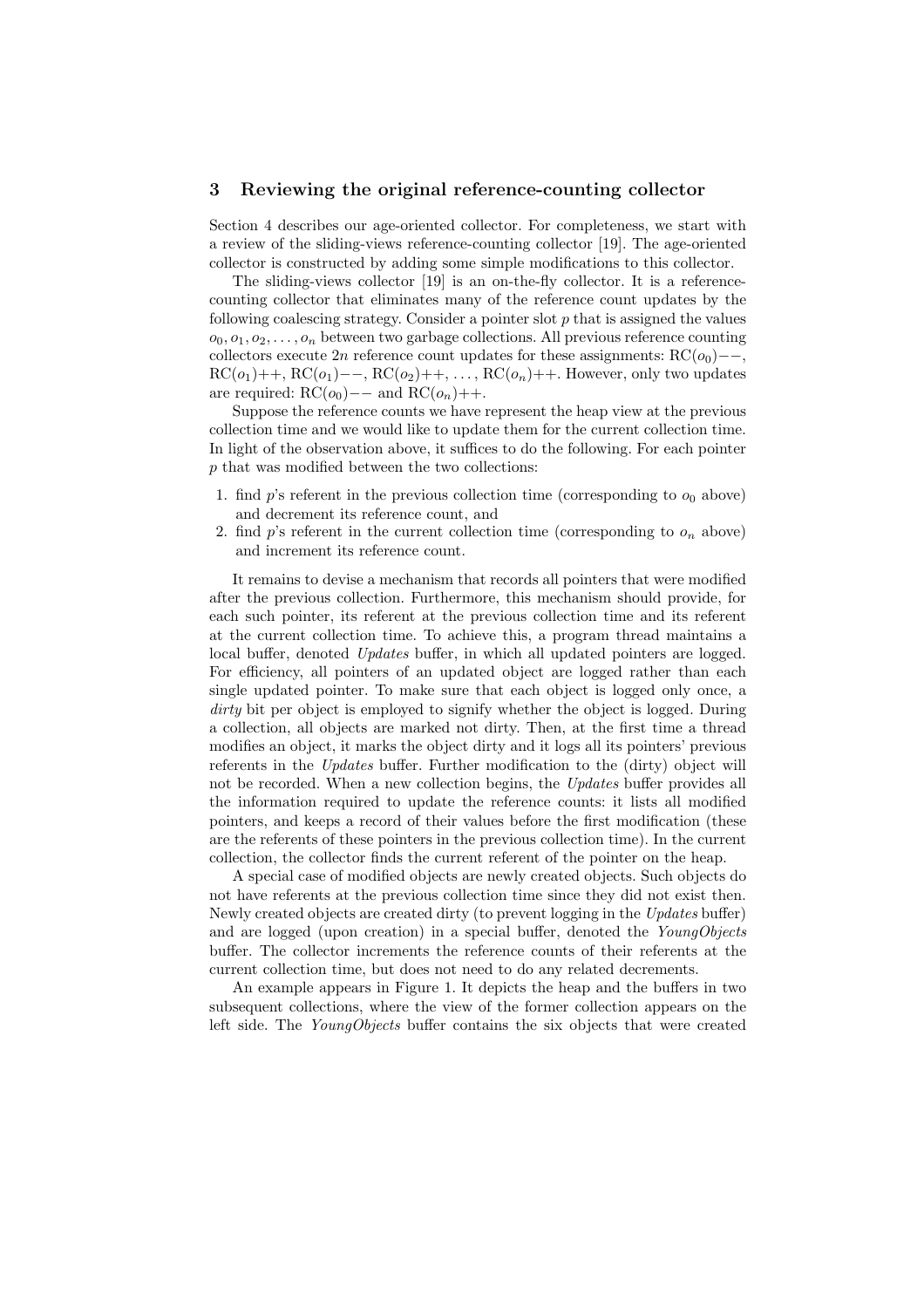#### 3 Reviewing the original reference-counting collector

Section 4 describes our age-oriented collector. For completeness, we start with a review of the sliding-views reference-counting collector [19]. The age-oriented collector is constructed by adding some simple modifications to this collector.

The sliding-views collector [19] is an on-the-fly collector. It is a referencecounting collector that eliminates many of the reference count updates by the following coalescing strategy. Consider a pointer slot  $p$  that is assigned the values  $o_0, o_1, o_2, \ldots, o_n$  between two garbage collections. All previous reference counting collectors execute 2n reference count updates for these assignments:  $RC(o_0)$  – –,  $\text{RC}(o_1)$ ++,  $\text{RC}(o_1)$ −−,  $\text{RC}(o_2)$ ++, ...,  $\text{RC}(o_n)$ ++. However, only two updates are required:  $\mathrm{RC}(o_0)$  – and  $\mathrm{RC}(o_n)$  + +.

Suppose the reference counts we have represent the heap view at the previous collection time and we would like to update them for the current collection time. In light of the observation above, it suffices to do the following. For each pointer p that was modified between the two collections:

- 1. find p's referent in the previous collection time (corresponding to  $o_0$  above) and decrement its reference count, and
- 2. find p's referent in the current collection time (corresponding to  $o_n$  above) and increment its reference count.

It remains to devise a mechanism that records all pointers that were modified after the previous collection. Furthermore, this mechanism should provide, for each such pointer, its referent at the previous collection time and its referent at the current collection time. To achieve this, a program thread maintains a local buffer, denoted *Updates* buffer, in which all updated pointers are logged. For efficiency, all pointers of an updated object are logged rather than each single updated pointer. To make sure that each object is logged only once, a dirty bit per object is employed to signify whether the object is logged. During a collection, all objects are marked not dirty. Then, at the first time a thread modifies an object, it marks the object dirty and it logs all its pointers' previous referents in the Updates buffer. Further modification to the (dirty) object will not be recorded. When a new collection begins, the Updates buffer provides all the information required to update the reference counts: it lists all modified pointers, and keeps a record of their values before the first modification (these are the referents of these pointers in the previous collection time). In the current collection, the collector finds the current referent of the pointer on the heap.

A special case of modified objects are newly created objects. Such objects do not have referents at the previous collection time since they did not exist then. Newly created objects are created dirty (to prevent logging in the Updates buffer) and are logged (upon creation) in a special buffer, denoted the *YoungObjects* buffer. The collector increments the reference counts of their referents at the current collection time, but does not need to do any related decrements.

An example appears in Figure 1. It depicts the heap and the buffers in two subsequent collections, where the view of the former collection appears on the left side. The *YoungObjects* buffer contains the six objects that were created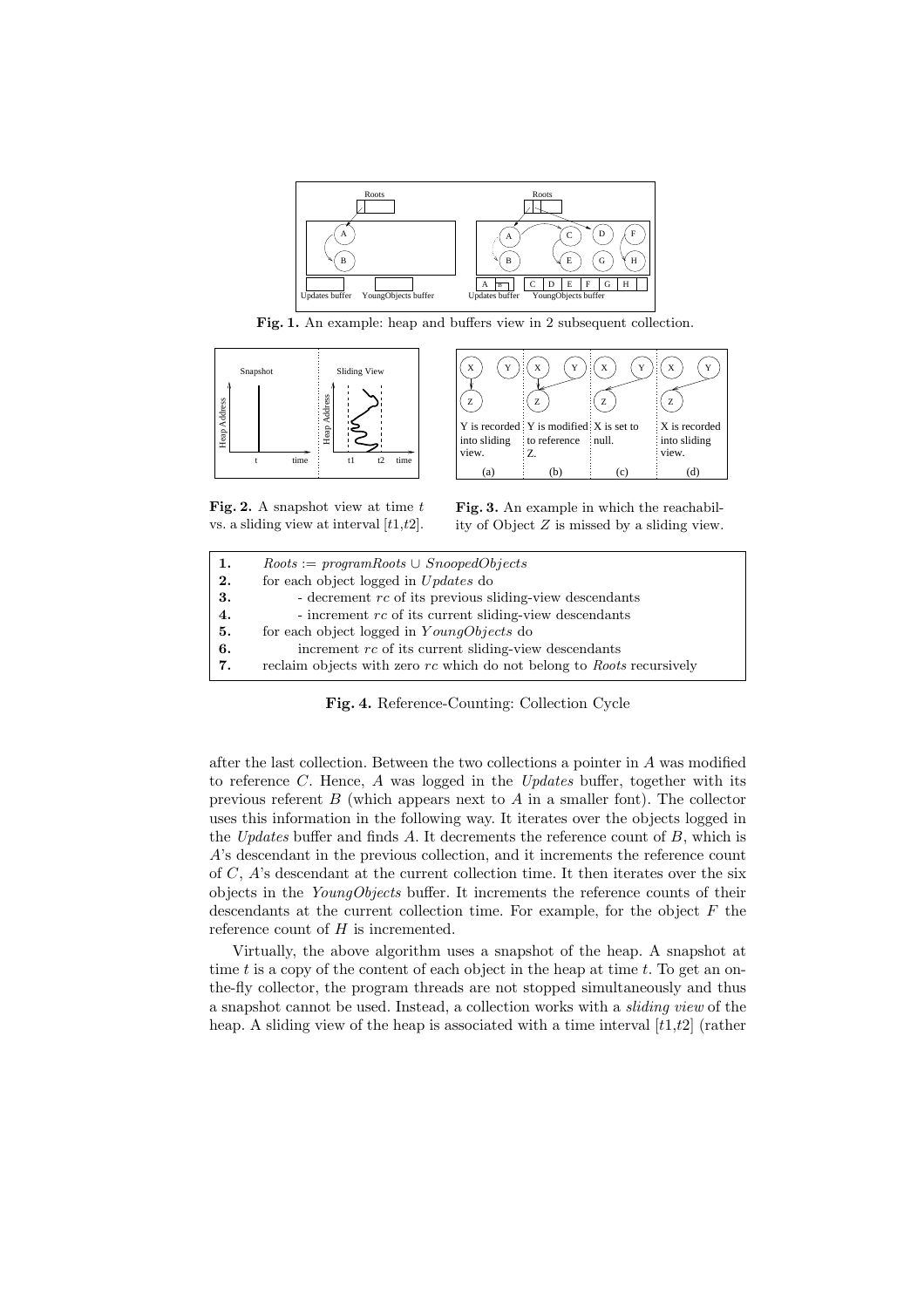

Fig. 1. An example: heap and buffers view in 2 subsequent collection.





Fig. 2. A snapshot view at time  $t$ vs. a sliding view at interval  $[t1,t2]$ .

Fig. 3. An example in which the reachability of Object Z is missed by a sliding view.

| 1. | $Roots := programRoots \cup SnoopedObjects$                                  |
|----|------------------------------------------------------------------------------|
| 2. | for each object logged in Updates do                                         |
| 3. | - decrement $rc$ of its previous sliding-view descendants                    |
| 4. | - increment $rc$ of its current sliding-view descendants                     |
| 5. | for each object logged in YoungObjects do                                    |
| 6. | increment rc of its current sliding-view descendants                         |
| 7. | reclaim objects with zero rc which do not belong to <i>Roots</i> recursively |

Fig. 4. Reference-Counting: Collection Cycle

after the last collection. Between the two collections a pointer in A was modified to reference  $C$ . Hence,  $A$  was logged in the Updates buffer, together with its previous referent  $B$  (which appears next to  $A$  in a smaller font). The collector uses this information in the following way. It iterates over the objects logged in the Updates buffer and finds  $A$ . It decrements the reference count of  $B$ , which is A's descendant in the previous collection, and it increments the reference count of  $C$ ,  $A$ 's descendant at the current collection time. It then iterates over the six objects in the YoungObjects buffer. It increments the reference counts of their descendants at the current collection time. For example, for the object  $F$  the reference count of  $H$  is incremented.

Virtually, the above algorithm uses a snapshot of the heap. A snapshot at time  $t$  is a copy of the content of each object in the heap at time  $t$ . To get an onthe-fly collector, the program threads are not stopped simultaneously and thus a snapshot cannot be used. Instead, a collection works with a sliding view of the heap. A sliding view of the heap is associated with a time interval  $[t1,t2]$  (rather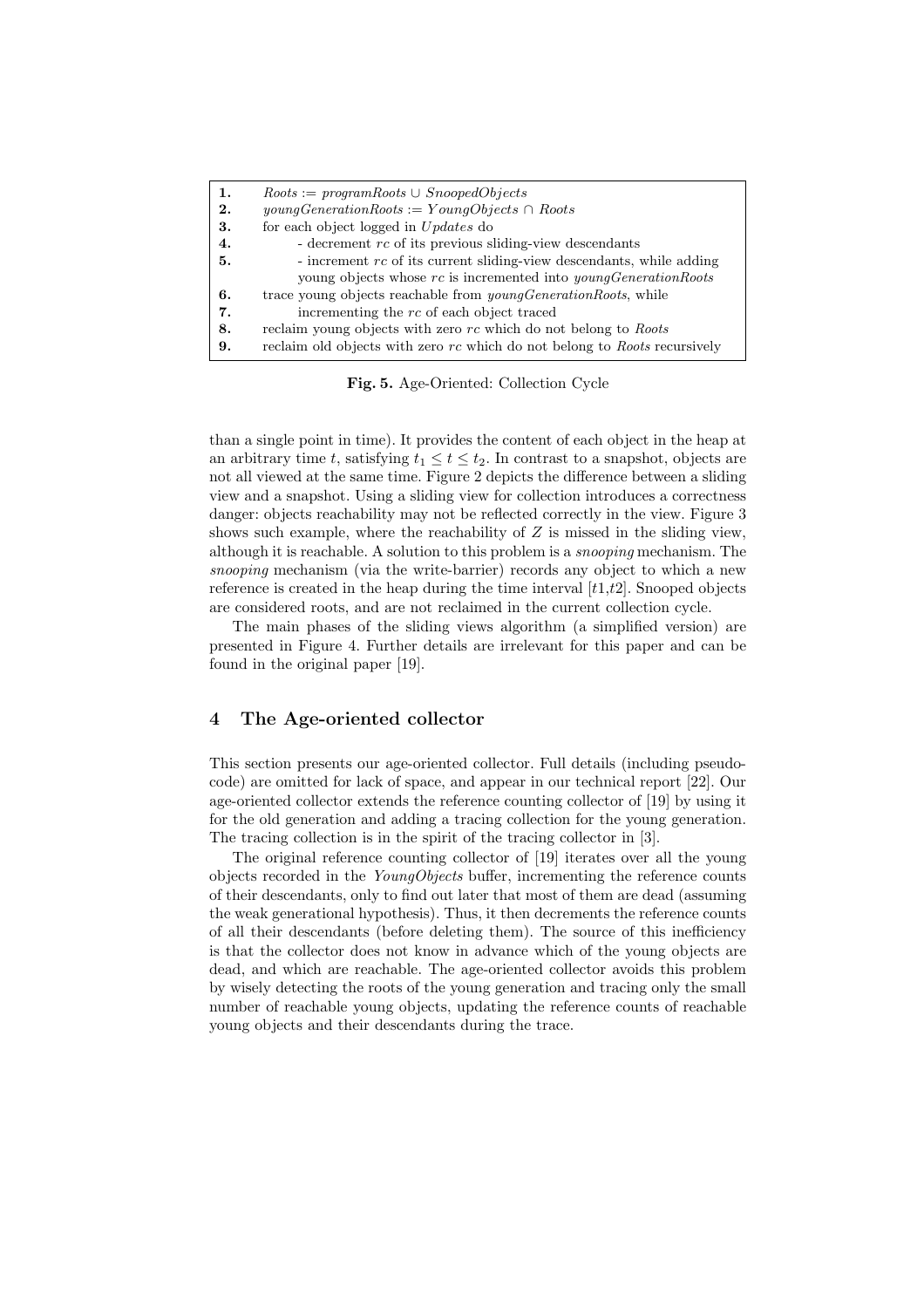| 1. | $Roots := programRoots \cup SnoopedObjects$                               |
|----|---------------------------------------------------------------------------|
| 2. | $young GenerationRoots := YoungObjects \cap Roots$                        |
| 3. | for each object logged in Updates do                                      |
| 4. | - decrement $rc$ of its previous sliding-view descendants                 |
| 5. | - increment $rc$ of its current sliding-view descendants, while adding    |
|    | young objects whose $rc$ is incremented into young Generation Roots       |
| 6. | trace young objects reachable from <i>young Generation Roots</i> , while  |
| 7. | incrementing the rc of each object traced                                 |
| 8. | reclaim young objects with zero rc which do not belong to Roots           |
| 9. | reclaim old objects with zero rc which do not belong to Roots recursively |

Fig. 5. Age-Oriented: Collection Cycle

than a single point in time). It provides the content of each object in the heap at an arbitrary time t, satisfying  $t_1 \le t \le t_2$ . In contrast to a snapshot, objects are not all viewed at the same time. Figure 2 depicts the difference between a sliding view and a snapshot. Using a sliding view for collection introduces a correctness danger: objects reachability may not be reflected correctly in the view. Figure 3 shows such example, where the reachability of  $Z$  is missed in the sliding view, although it is reachable. A solution to this problem is a snooping mechanism. The snooping mechanism (via the write-barrier) records any object to which a new reference is created in the heap during the time interval  $[t1,t2]$ . Snooped objects are considered roots, and are not reclaimed in the current collection cycle.

The main phases of the sliding views algorithm (a simplified version) are presented in Figure 4. Further details are irrelevant for this paper and can be found in the original paper [19].

### 4 The Age-oriented collector

This section presents our age-oriented collector. Full details (including pseudocode) are omitted for lack of space, and appear in our technical report [22]. Our age-oriented collector extends the reference counting collector of [19] by using it for the old generation and adding a tracing collection for the young generation. The tracing collection is in the spirit of the tracing collector in [3].

The original reference counting collector of [19] iterates over all the young objects recorded in the YoungObjects buffer, incrementing the reference counts of their descendants, only to find out later that most of them are dead (assuming the weak generational hypothesis). Thus, it then decrements the reference counts of all their descendants (before deleting them). The source of this inefficiency is that the collector does not know in advance which of the young objects are dead, and which are reachable. The age-oriented collector avoids this problem by wisely detecting the roots of the young generation and tracing only the small number of reachable young objects, updating the reference counts of reachable young objects and their descendants during the trace.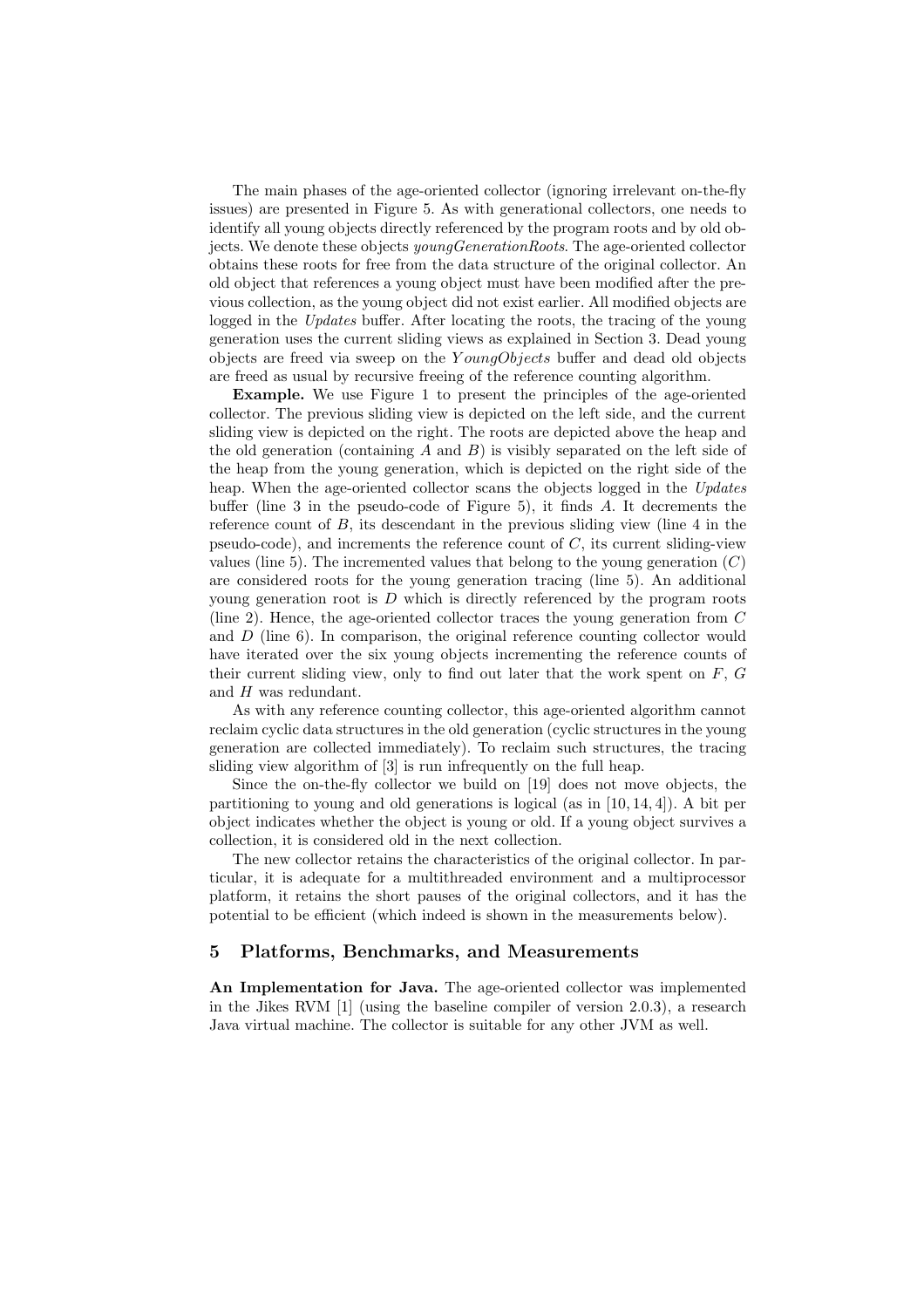The main phases of the age-oriented collector (ignoring irrelevant on-the-fly issues) are presented in Figure 5. As with generational collectors, one needs to identify all young objects directly referenced by the program roots and by old objects. We denote these objects *youngGenerationRoots*. The age-oriented collector obtains these roots for free from the data structure of the original collector. An old object that references a young object must have been modified after the previous collection, as the young object did not exist earlier. All modified objects are logged in the Updates buffer. After locating the roots, the tracing of the young generation uses the current sliding views as explained in Section 3. Dead young objects are freed via sweep on the Y oungObjects buffer and dead old objects are freed as usual by recursive freeing of the reference counting algorithm.

Example. We use Figure 1 to present the principles of the age-oriented collector. The previous sliding view is depicted on the left side, and the current sliding view is depicted on the right. The roots are depicted above the heap and the old generation (containing  $A$  and  $B$ ) is visibly separated on the left side of the heap from the young generation, which is depicted on the right side of the heap. When the age-oriented collector scans the objects logged in the Updates buffer (line 3 in the pseudo-code of Figure 5), it finds A. It decrements the reference count of  $B$ , its descendant in the previous sliding view (line 4 in the pseudo-code), and increments the reference count of  $C$ , its current sliding-view values (line 5). The incremented values that belong to the young generation  $(C)$ are considered roots for the young generation tracing (line 5). An additional young generation root is  $D$  which is directly referenced by the program roots (line 2). Hence, the age-oriented collector traces the young generation from C and D (line 6). In comparison, the original reference counting collector would have iterated over the six young objects incrementing the reference counts of their current sliding view, only to find out later that the work spent on  $F, G$ and H was redundant.

As with any reference counting collector, this age-oriented algorithm cannot reclaim cyclic data structures in the old generation (cyclic structures in the young generation are collected immediately). To reclaim such structures, the tracing sliding view algorithm of [3] is run infrequently on the full heap.

Since the on-the-fly collector we build on [19] does not move objects, the partitioning to young and old generations is logical (as in [10, 14, 4]). A bit per object indicates whether the object is young or old. If a young object survives a collection, it is considered old in the next collection.

The new collector retains the characteristics of the original collector. In particular, it is adequate for a multithreaded environment and a multiprocessor platform, it retains the short pauses of the original collectors, and it has the potential to be efficient (which indeed is shown in the measurements below).

## 5 Platforms, Benchmarks, and Measurements

An Implementation for Java. The age-oriented collector was implemented in the Jikes RVM [1] (using the baseline compiler of version 2.0.3), a research Java virtual machine. The collector is suitable for any other JVM as well.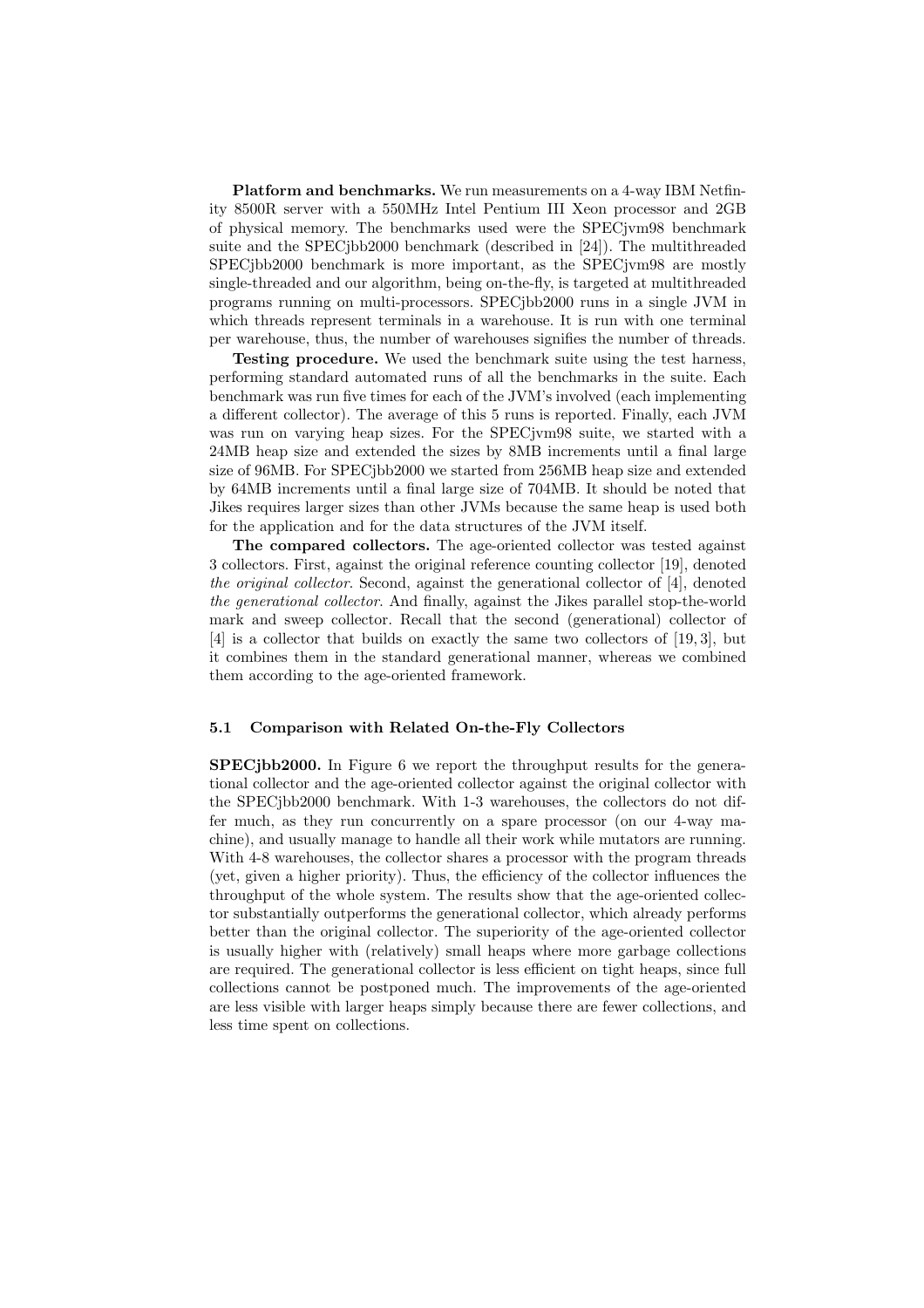Platform and benchmarks. We run measurements on a 4-way IBM Netfinity 8500R server with a 550MHz Intel Pentium III Xeon processor and 2GB of physical memory. The benchmarks used were the SPECjvm98 benchmark suite and the SPECjbb2000 benchmark (described in [24]). The multithreaded SPEC; bb2000 benchmark is more important, as the SPEC; vm98 are mostly single-threaded and our algorithm, being on-the-fly, is targeted at multithreaded programs running on multi-processors. SPECjbb2000 runs in a single JVM in which threads represent terminals in a warehouse. It is run with one terminal per warehouse, thus, the number of warehouses signifies the number of threads.

Testing procedure. We used the benchmark suite using the test harness, performing standard automated runs of all the benchmarks in the suite. Each benchmark was run five times for each of the JVM's involved (each implementing a different collector). The average of this 5 runs is reported. Finally, each JVM was run on varying heap sizes. For the SPECjvm98 suite, we started with a 24MB heap size and extended the sizes by 8MB increments until a final large size of 96MB. For SPECjbb2000 we started from 256MB heap size and extended by 64MB increments until a final large size of 704MB. It should be noted that Jikes requires larger sizes than other JVMs because the same heap is used both for the application and for the data structures of the JVM itself.

The compared collectors. The age-oriented collector was tested against 3 collectors. First, against the original reference counting collector [19], denoted the original collector. Second, against the generational collector of [4], denoted the generational collector. And finally, against the Jikes parallel stop-the-world mark and sweep collector. Recall that the second (generational) collector of [4] is a collector that builds on exactly the same two collectors of [19, 3], but it combines them in the standard generational manner, whereas we combined them according to the age-oriented framework.

#### 5.1 Comparison with Related On-the-Fly Collectors

SPECjbb2000. In Figure 6 we report the throughput results for the generational collector and the age-oriented collector against the original collector with the SPECjbb2000 benchmark. With 1-3 warehouses, the collectors do not differ much, as they run concurrently on a spare processor (on our 4-way machine), and usually manage to handle all their work while mutators are running. With 4-8 warehouses, the collector shares a processor with the program threads (yet, given a higher priority). Thus, the efficiency of the collector influences the throughput of the whole system. The results show that the age-oriented collector substantially outperforms the generational collector, which already performs better than the original collector. The superiority of the age-oriented collector is usually higher with (relatively) small heaps where more garbage collections are required. The generational collector is less efficient on tight heaps, since full collections cannot be postponed much. The improvements of the age-oriented are less visible with larger heaps simply because there are fewer collections, and less time spent on collections.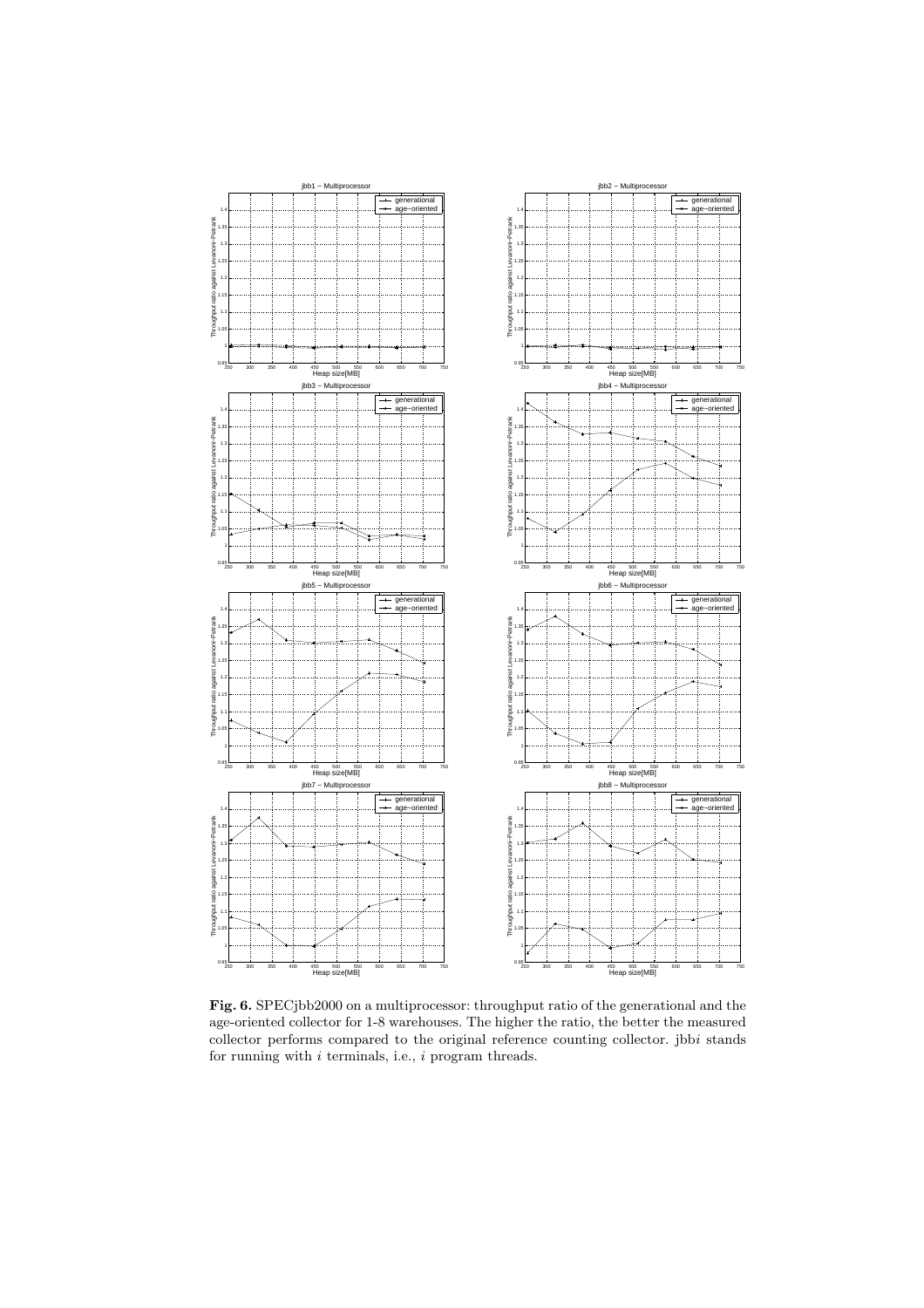

Fig. 6. SPECjbb2000 on a multiprocessor: throughput ratio of the generational and the age-oriented collector for 1-8 warehouses. The higher the ratio, the better the measured collector performs compared to the original reference counting collector. jbbi stands for running with  $i$  terminals, i.e.,  $i$  program threads.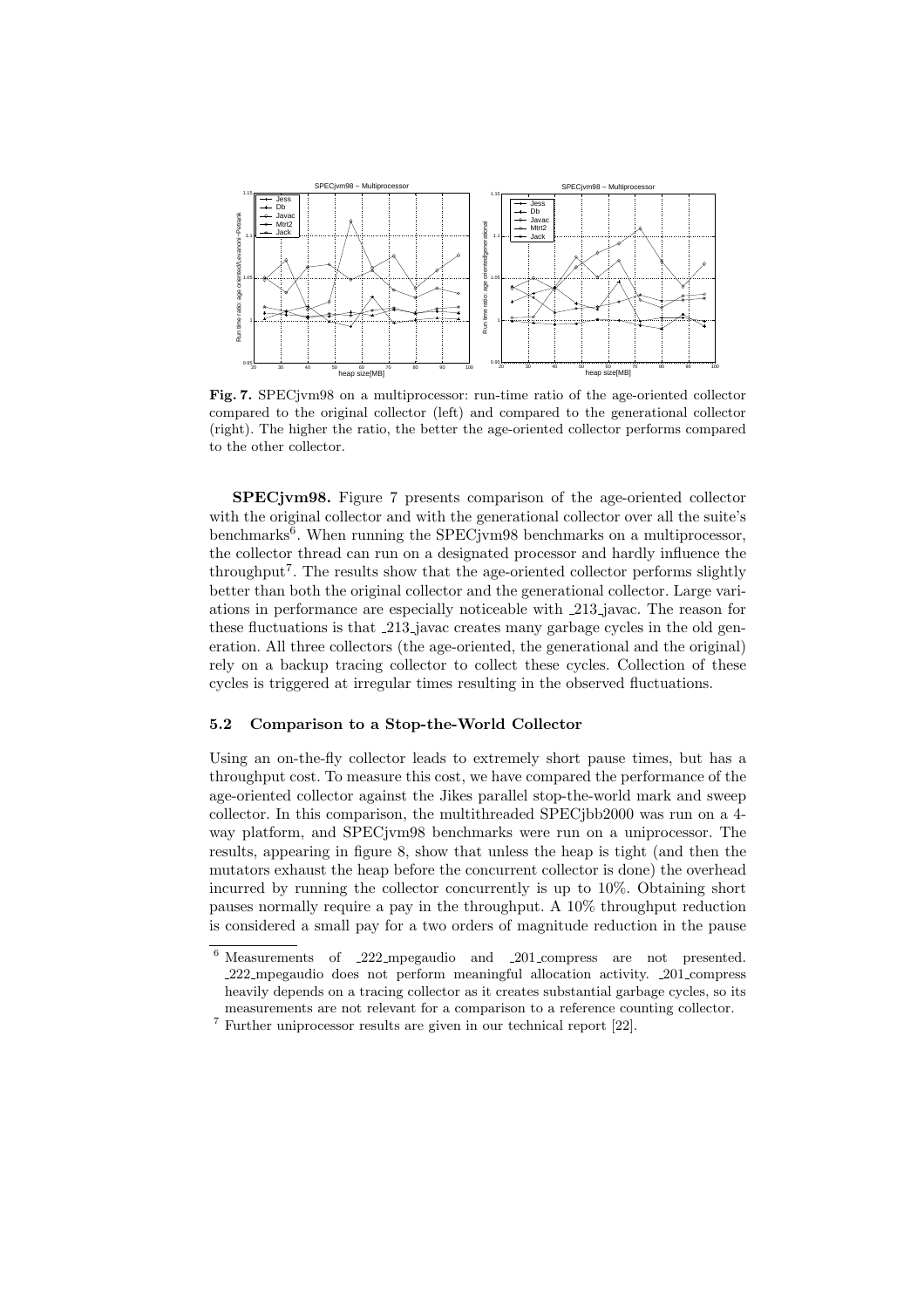

Fig. 7. SPECjvm98 on a multiprocessor: run-time ratio of the age-oriented collector compared to the original collector (left) and compared to the generational collector (right). The higher the ratio, the better the age-oriented collector performs compared to the other collector.

SPECjvm98. Figure 7 presents comparison of the age-oriented collector with the original collector and with the generational collector over all the suite's benchmarks<sup>6</sup>. When running the SPECjvm98 benchmarks on a multiprocessor, the collector thread can run on a designated processor and hardly influence the throughput<sup>7</sup>. The results show that the age-oriented collector performs slightly better than both the original collector and the generational collector. Large variations in performance are especially noticeable with 213 javac. The reason for these fluctuations is that 213 javac creates many garbage cycles in the old generation. All three collectors (the age-oriented, the generational and the original) rely on a backup tracing collector to collect these cycles. Collection of these cycles is triggered at irregular times resulting in the observed fluctuations.

## 5.2 Comparison to a Stop-the-World Collector

Using an on-the-fly collector leads to extremely short pause times, but has a throughput cost. To measure this cost, we have compared the performance of the age-oriented collector against the Jikes parallel stop-the-world mark and sweep collector. In this comparison, the multithreaded SPECjbb2000 was run on a 4 way platform, and SPEC ivm98 benchmarks were run on a uniprocessor. The results, appearing in figure 8, show that unless the heap is tight (and then the mutators exhaust the heap before the concurrent collector is done) the overhead incurred by running the collector concurrently is up to 10%. Obtaining short pauses normally require a pay in the throughput. A 10% throughput reduction is considered a small pay for a two orders of magnitude reduction in the pause

<sup>6</sup> Measurements of 222 mpegaudio and 201 compress are not presented. 222 mpegaudio does not perform meaningful allocation activity. 201 compress heavily depends on a tracing collector as it creates substantial garbage cycles, so its measurements are not relevant for a comparison to a reference counting collector.

<sup>7</sup> Further uniprocessor results are given in our technical report [22].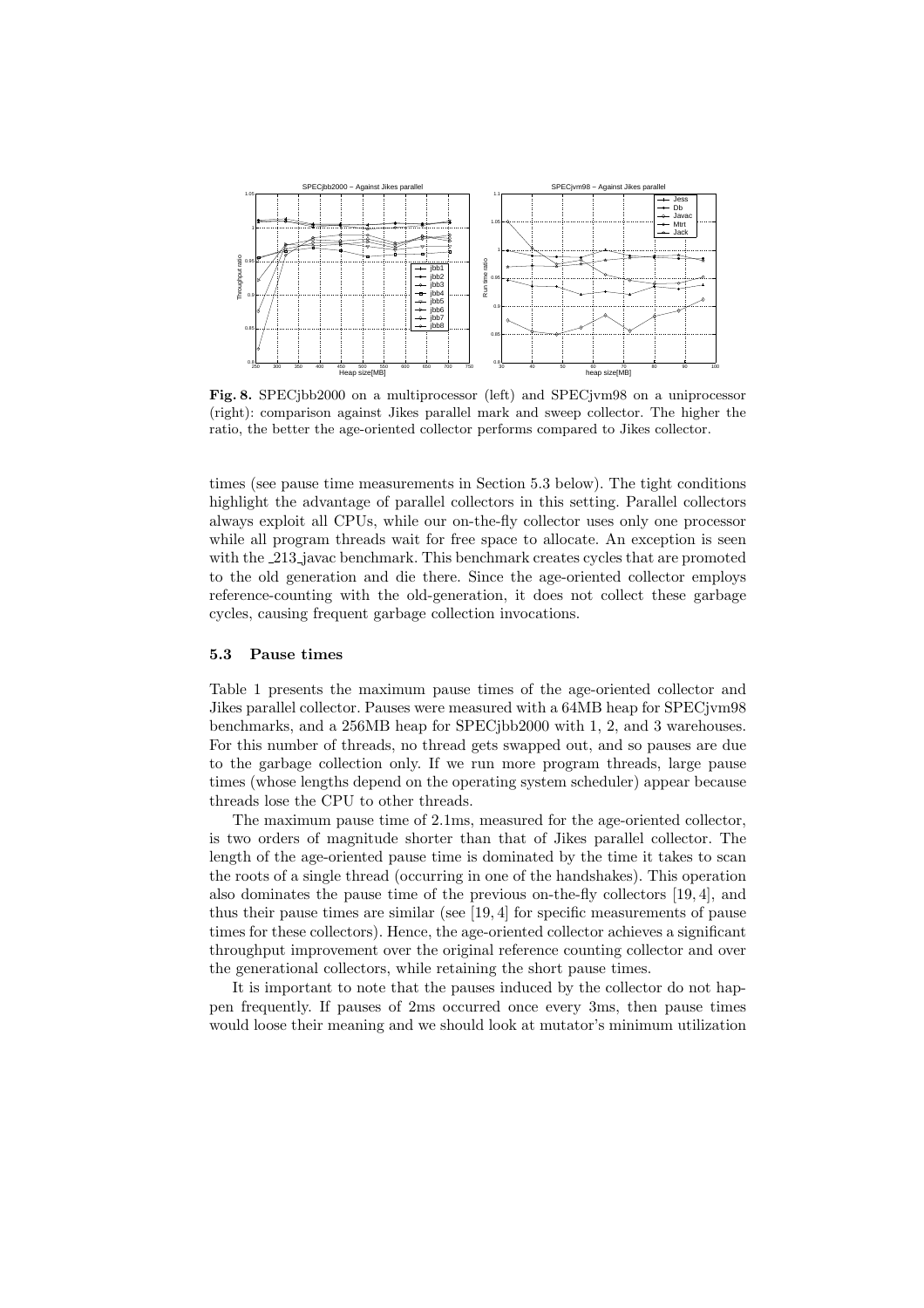

Fig. 8. SPECjbb2000 on a multiprocessor (left) and SPECjvm98 on a uniprocessor (right): comparison against Jikes parallel mark and sweep collector. The higher the ratio, the better the age-oriented collector performs compared to Jikes collector.

times (see pause time measurements in Section 5.3 below). The tight conditions highlight the advantage of parallel collectors in this setting. Parallel collectors always exploit all CPUs, while our on-the-fly collector uses only one processor while all program threads wait for free space to allocate. An exception is seen with the 213 javac benchmark. This benchmark creates cycles that are promoted to the old generation and die there. Since the age-oriented collector employs reference-counting with the old-generation, it does not collect these garbage cycles, causing frequent garbage collection invocations.

#### 5.3 Pause times

Table 1 presents the maximum pause times of the age-oriented collector and Jikes parallel collector. Pauses were measured with a 64MB heap for SPECjvm98 benchmarks, and a 256MB heap for SPECjbb2000 with 1, 2, and 3 warehouses. For this number of threads, no thread gets swapped out, and so pauses are due to the garbage collection only. If we run more program threads, large pause times (whose lengths depend on the operating system scheduler) appear because threads lose the CPU to other threads.

The maximum pause time of 2.1ms, measured for the age-oriented collector, is two orders of magnitude shorter than that of Jikes parallel collector. The length of the age-oriented pause time is dominated by the time it takes to scan the roots of a single thread (occurring in one of the handshakes). This operation also dominates the pause time of the previous on-the-fly collectors [19, 4], and thus their pause times are similar (see [19, 4] for specific measurements of pause times for these collectors). Hence, the age-oriented collector achieves a significant throughput improvement over the original reference counting collector and over the generational collectors, while retaining the short pause times.

It is important to note that the pauses induced by the collector do not happen frequently. If pauses of 2ms occurred once every 3ms, then pause times would loose their meaning and we should look at mutator's minimum utilization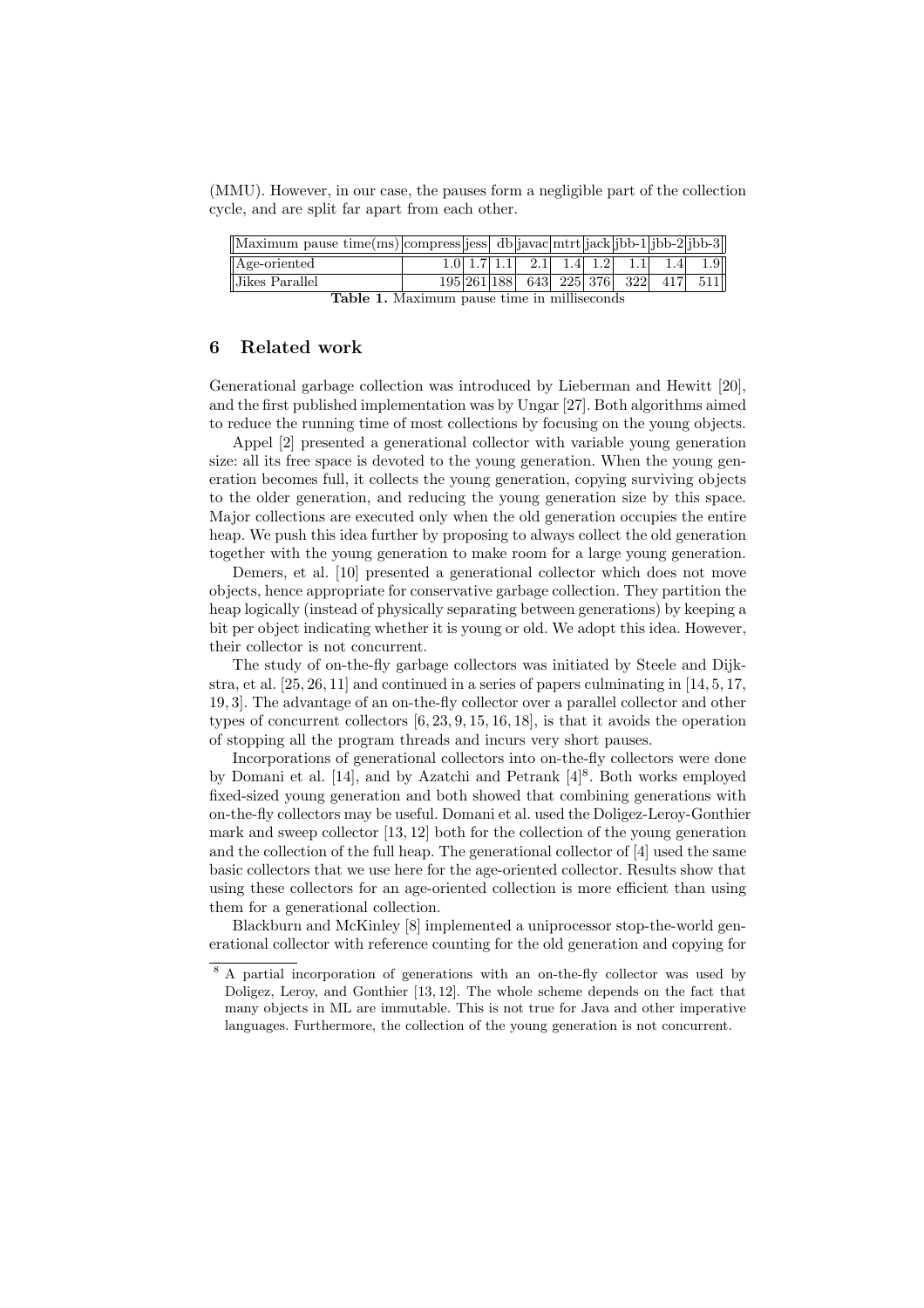(MMU). However, in our case, the pauses form a negligible part of the collection cycle, and are split far apart from each other.

| $\ \text{Maximum pause time}(\text{ms})\  \text{compress} \ \text{giss}(\text{db} \text{java}(\text{mtrt} \text{jack} \text{bbb-1} \text{job-2} \text{bbb-3})).$ |  |  |  |  |  |  |  |  |                                                           |  |  |
|------------------------------------------------------------------------------------------------------------------------------------------------------------------|--|--|--|--|--|--|--|--|-----------------------------------------------------------|--|--|
| Age-oriented                                                                                                                                                     |  |  |  |  |  |  |  |  | $1.0 1.7 1.1 $ $2.1 $ $1.4 $ $1.2 $ $1.1 $ $1.4 $ $1.9  $ |  |  |
| Jikes Parallel                                                                                                                                                   |  |  |  |  |  |  |  |  | $195 261 188$ 643 225 376 322 417 511                     |  |  |
| <b>Table 1.</b> Maximum pause time in milliseconds                                                                                                               |  |  |  |  |  |  |  |  |                                                           |  |  |

6 Related work

Generational garbage collection was introduced by Lieberman and Hewitt [20], and the first published implementation was by Ungar [27]. Both algorithms aimed to reduce the running time of most collections by focusing on the young objects.

Appel [2] presented a generational collector with variable young generation size: all its free space is devoted to the young generation. When the young generation becomes full, it collects the young generation, copying surviving objects to the older generation, and reducing the young generation size by this space. Major collections are executed only when the old generation occupies the entire heap. We push this idea further by proposing to always collect the old generation together with the young generation to make room for a large young generation.

Demers, et al. [10] presented a generational collector which does not move objects, hence appropriate for conservative garbage collection. They partition the heap logically (instead of physically separating between generations) by keeping a bit per object indicating whether it is young or old. We adopt this idea. However, their collector is not concurrent.

The study of on-the-fly garbage collectors was initiated by Steele and Dijkstra, et al. [25, 26, 11] and continued in a series of papers culminating in [14, 5, 17, 19, 3]. The advantage of an on-the-fly collector over a parallel collector and other types of concurrent collectors [6, 23, 9, 15, 16, 18], is that it avoids the operation of stopping all the program threads and incurs very short pauses.

Incorporations of generational collectors into on-the-fly collectors were done by Domani et al. [14], and by Azatchi and Petrank  $[4]^8$ . Both works employed fixed-sized young generation and both showed that combining generations with on-the-fly collectors may be useful. Domani et al. used the Doligez-Leroy-Gonthier mark and sweep collector [13, 12] both for the collection of the young generation and the collection of the full heap. The generational collector of [4] used the same basic collectors that we use here for the age-oriented collector. Results show that using these collectors for an age-oriented collection is more efficient than using them for a generational collection.

Blackburn and McKinley [8] implemented a uniprocessor stop-the-world generational collector with reference counting for the old generation and copying for

<sup>8</sup> A partial incorporation of generations with an on-the-fly collector was used by Doligez, Leroy, and Gonthier [13, 12]. The whole scheme depends on the fact that many objects in ML are immutable. This is not true for Java and other imperative languages. Furthermore, the collection of the young generation is not concurrent.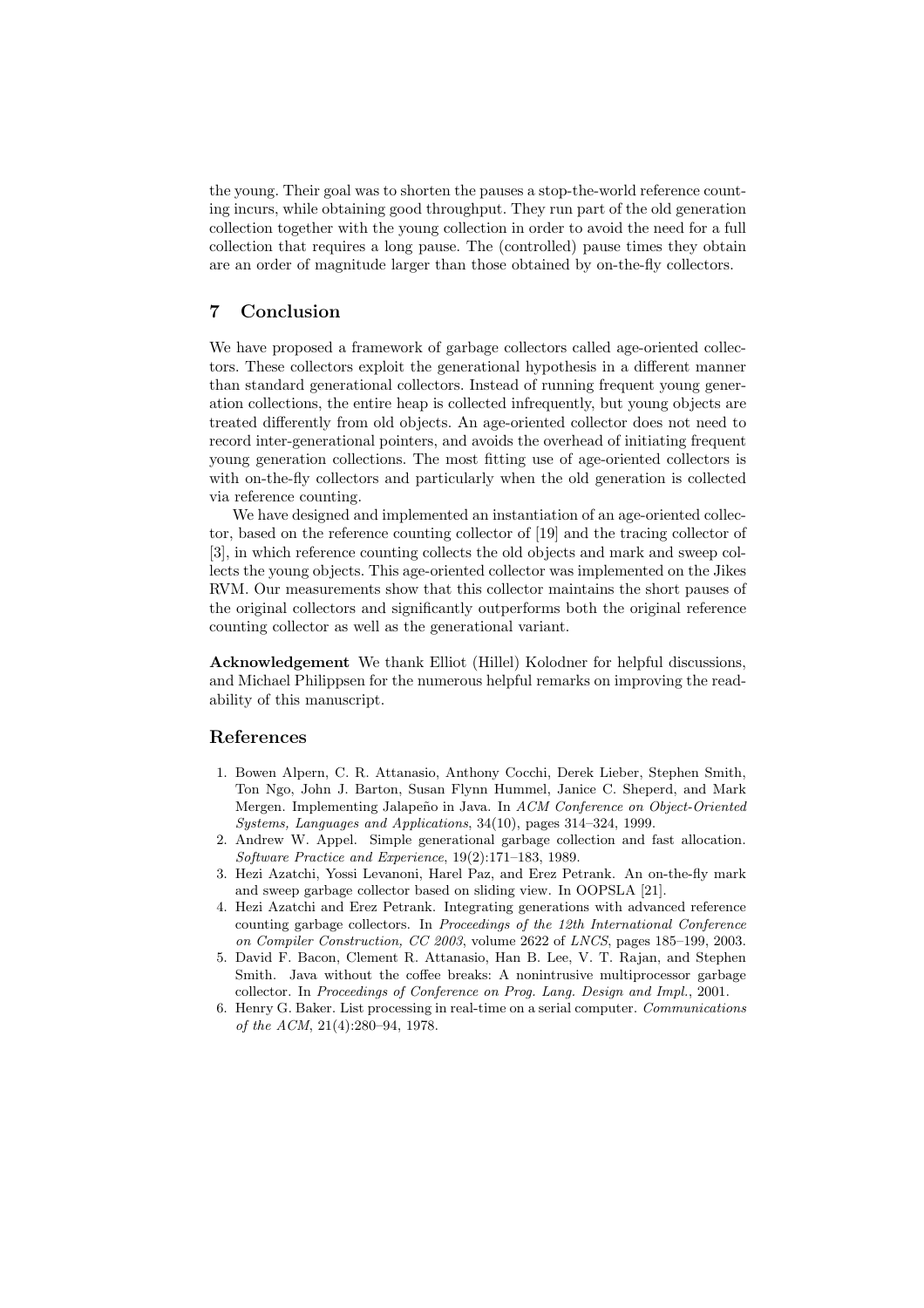the young. Their goal was to shorten the pauses a stop-the-world reference counting incurs, while obtaining good throughput. They run part of the old generation collection together with the young collection in order to avoid the need for a full collection that requires a long pause. The (controlled) pause times they obtain are an order of magnitude larger than those obtained by on-the-fly collectors.

# 7 Conclusion

We have proposed a framework of garbage collectors called age-oriented collectors. These collectors exploit the generational hypothesis in a different manner than standard generational collectors. Instead of running frequent young generation collections, the entire heap is collected infrequently, but young objects are treated differently from old objects. An age-oriented collector does not need to record inter-generational pointers, and avoids the overhead of initiating frequent young generation collections. The most fitting use of age-oriented collectors is with on-the-fly collectors and particularly when the old generation is collected via reference counting.

We have designed and implemented an instantiation of an age-oriented collector, based on the reference counting collector of [19] and the tracing collector of [3], in which reference counting collects the old objects and mark and sweep collects the young objects. This age-oriented collector was implemented on the Jikes RVM. Our measurements show that this collector maintains the short pauses of the original collectors and significantly outperforms both the original reference counting collector as well as the generational variant.

Acknowledgement We thank Elliot (Hillel) Kolodner for helpful discussions, and Michael Philippsen for the numerous helpful remarks on improving the readability of this manuscript.

# References

- 1. Bowen Alpern, C. R. Attanasio, Anthony Cocchi, Derek Lieber, Stephen Smith, Ton Ngo, John J. Barton, Susan Flynn Hummel, Janice C. Sheperd, and Mark Mergen. Implementing Jalapeño in Java. In ACM Conference on Object-Oriented Systems, Languages and Applications, 34(10), pages 314–324, 1999.
- 2. Andrew W. Appel. Simple generational garbage collection and fast allocation. Software Practice and Experience, 19(2):171–183, 1989.
- 3. Hezi Azatchi, Yossi Levanoni, Harel Paz, and Erez Petrank. An on-the-fly mark and sweep garbage collector based on sliding view. In OOPSLA [21].
- 4. Hezi Azatchi and Erez Petrank. Integrating generations with advanced reference counting garbage collectors. In Proceedings of the 12th International Conference on Compiler Construction, CC 2003, volume 2622 of LNCS, pages 185–199, 2003.
- 5. David F. Bacon, Clement R. Attanasio, Han B. Lee, V. T. Rajan, and Stephen Smith. Java without the coffee breaks: A nonintrusive multiprocessor garbage collector. In Proceedings of Conference on Prog. Lang. Design and Impl., 2001.
- 6. Henry G. Baker. List processing in real-time on a serial computer. Communications of the ACM, 21(4):280–94, 1978.